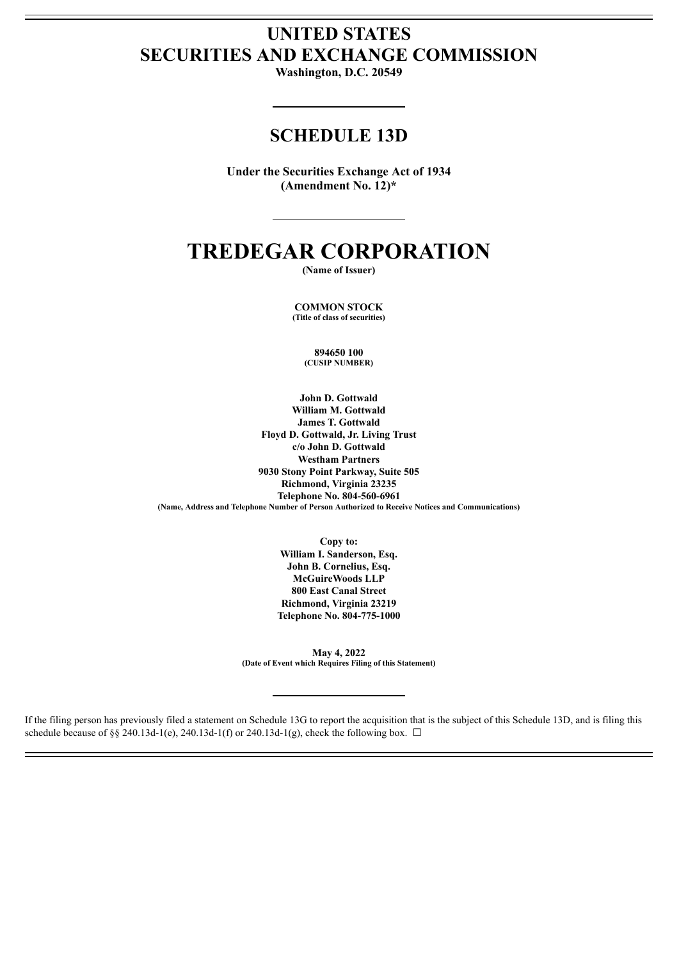## **UNITED STATES SECURITIES AND EXCHANGE COMMISSION**

**Washington, D.C. 20549**

### **SCHEDULE 13D**

**Under the Securities Exchange Act of 1934 (Amendment No. 12)\***

# **TREDEGAR CORPORATION**

**(Name of Issuer)**

**COMMON STOCK (Title of class of securities)**

> **894650 100 (CUSIP NUMBER)**

**John D. Gottwald William M. Gottwald James T. Gottwald Floyd D. Gottwald, Jr. Living Trust c/o John D. Gottwald Westham Partners 9030 Stony Point Parkway, Suite 505 Richmond, Virginia 23235 Telephone No. 804-560-6961 (Name, Address and Telephone Number of Person Authorized to Receive Notices and Communications)**

> **Copy to: William I. Sanderson, Esq. John B. Cornelius, Esq. McGuireWoods LLP 800 East Canal Street Richmond, Virginia 23219 Telephone No. 804-775-1000**

**May 4, 2022 (Date of Event which Requires Filing of this Statement)**

If the filing person has previously filed a statement on Schedule 13G to report the acquisition that is the subject of this Schedule 13D, and is filing this schedule because of §§ 240.13d-1(e), 240.13d-1(f) or 240.13d-1(g), check the following box.  $\Box$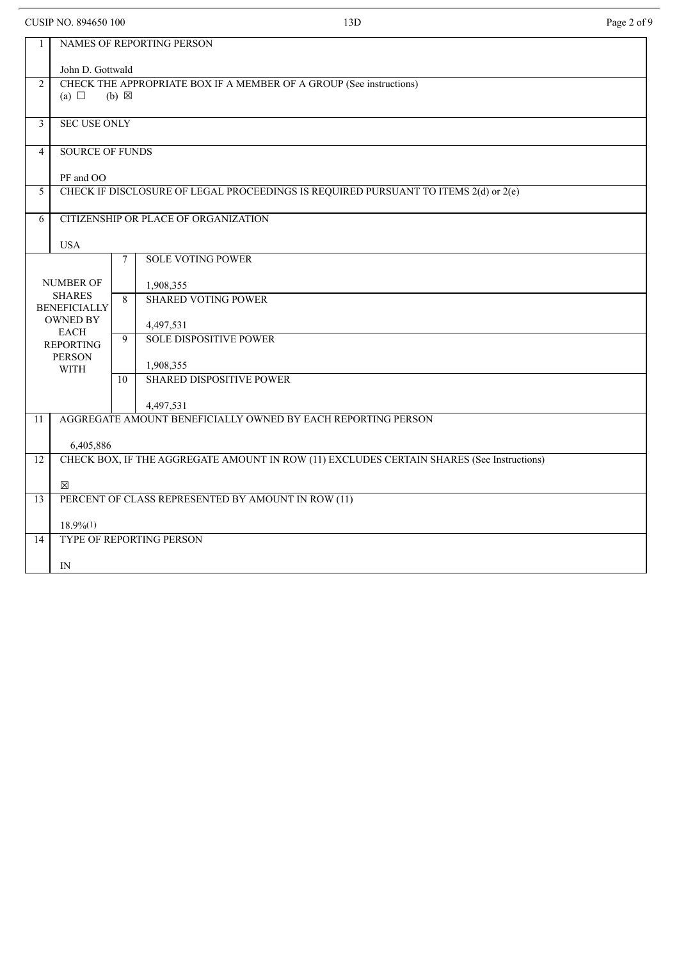CUSIP NO. 894650 100 **Page 2 of 9** 13D **Page 2 of 9** 

| 1               | NAMES OF REPORTING PERSON                                                                        |                |                                                              |  |  |  |  |
|-----------------|--------------------------------------------------------------------------------------------------|----------------|--------------------------------------------------------------|--|--|--|--|
|                 | John D. Gottwald                                                                                 |                |                                                              |  |  |  |  |
| $\overline{2}$  | CHECK THE APPROPRIATE BOX IF A MEMBER OF A GROUP (See instructions)                              |                |                                                              |  |  |  |  |
|                 | (a) $\Box$<br>$(b) \boxtimes$                                                                    |                |                                                              |  |  |  |  |
|                 |                                                                                                  |                |                                                              |  |  |  |  |
| 3               | <b>SEC USE ONLY</b>                                                                              |                |                                                              |  |  |  |  |
| $\overline{4}$  | <b>SOURCE OF FUNDS</b>                                                                           |                |                                                              |  |  |  |  |
|                 |                                                                                                  |                |                                                              |  |  |  |  |
| 5               | PF and OO<br>CHECK IF DISCLOSURE OF LEGAL PROCEEDINGS IS REQUIRED PURSUANT TO ITEMS 2(d) or 2(e) |                |                                                              |  |  |  |  |
|                 |                                                                                                  |                |                                                              |  |  |  |  |
| 6               | CITIZENSHIP OR PLACE OF ORGANIZATION                                                             |                |                                                              |  |  |  |  |
|                 | <b>USA</b>                                                                                       |                |                                                              |  |  |  |  |
|                 |                                                                                                  | 7              | <b>SOLE VOTING POWER</b>                                     |  |  |  |  |
|                 |                                                                                                  |                |                                                              |  |  |  |  |
|                 | NUMBER OF                                                                                        |                | 1,908,355                                                    |  |  |  |  |
|                 | <b>SHARES</b><br><b>BENEFICIALLY</b>                                                             | $\overline{8}$ | <b>SHARED VOTING POWER</b>                                   |  |  |  |  |
|                 | <b>OWNED BY</b>                                                                                  |                |                                                              |  |  |  |  |
|                 | <b>EACH</b>                                                                                      | 9              | 4,497,531                                                    |  |  |  |  |
|                 | <b>REPORTING</b>                                                                                 |                | <b>SOLE DISPOSITIVE POWER</b>                                |  |  |  |  |
|                 | <b>PERSON</b><br><b>WITH</b>                                                                     |                | 1,908,355                                                    |  |  |  |  |
|                 |                                                                                                  | 10             | <b>SHARED DISPOSITIVE POWER</b>                              |  |  |  |  |
|                 |                                                                                                  |                |                                                              |  |  |  |  |
|                 |                                                                                                  |                | 4,497,531                                                    |  |  |  |  |
| 11              |                                                                                                  |                | AGGREGATE AMOUNT BENEFICIALLY OWNED BY EACH REPORTING PERSON |  |  |  |  |
|                 | 6,405,886                                                                                        |                |                                                              |  |  |  |  |
| 12              | CHECK BOX, IF THE AGGREGATE AMOUNT IN ROW (11) EXCLUDES CERTAIN SHARES (See Instructions)        |                |                                                              |  |  |  |  |
|                 |                                                                                                  |                |                                                              |  |  |  |  |
|                 | ⊠                                                                                                |                |                                                              |  |  |  |  |
| 13              | PERCENT OF CLASS REPRESENTED BY AMOUNT IN ROW (11)                                               |                |                                                              |  |  |  |  |
|                 | $18.9\%(1)$                                                                                      |                |                                                              |  |  |  |  |
| $\overline{14}$ |                                                                                                  |                | <b>TYPE OF REPORTING PERSON</b>                              |  |  |  |  |
|                 |                                                                                                  |                |                                                              |  |  |  |  |
|                 | IN                                                                                               |                |                                                              |  |  |  |  |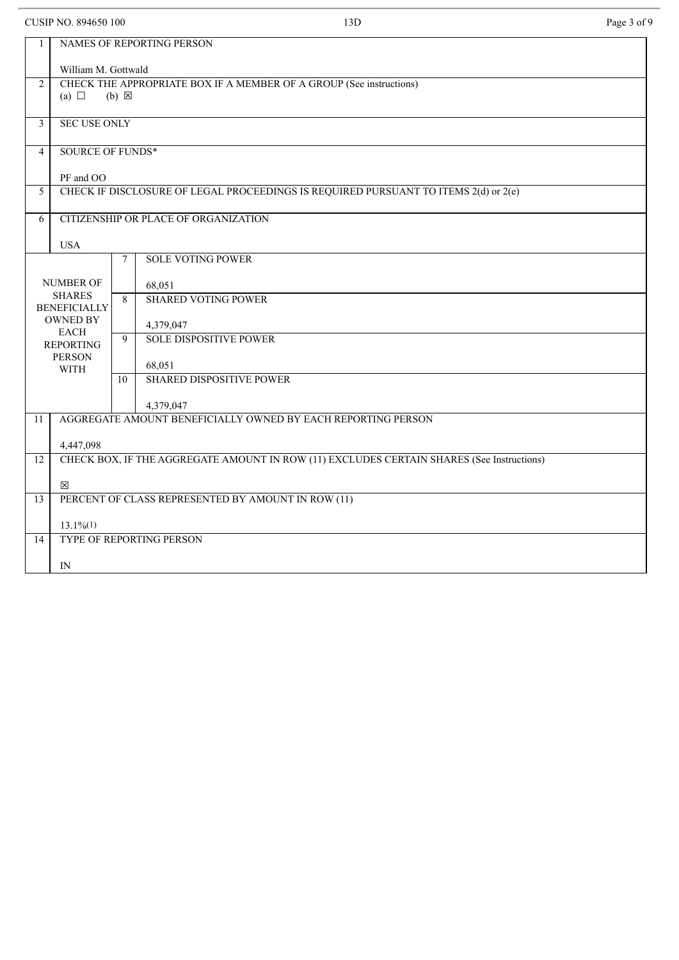CUSIP NO. 894650 100 **Page 3 of 9** 13D **Page 3 of 9** 

| $\mathbf{1}$   | NAMES OF REPORTING PERSON                                                                 |                 |                                                              |  |  |  |  |
|----------------|-------------------------------------------------------------------------------------------|-----------------|--------------------------------------------------------------|--|--|--|--|
|                | William M. Gottwald                                                                       |                 |                                                              |  |  |  |  |
| $\overline{2}$ | CHECK THE APPROPRIATE BOX IF A MEMBER OF A GROUP (See instructions)                       |                 |                                                              |  |  |  |  |
|                | (a) $\Box$<br>$(b) \boxtimes$                                                             |                 |                                                              |  |  |  |  |
| 3              |                                                                                           |                 |                                                              |  |  |  |  |
|                | <b>SEC USE ONLY</b>                                                                       |                 |                                                              |  |  |  |  |
| $\overline{4}$ | <b>SOURCE OF FUNDS*</b>                                                                   |                 |                                                              |  |  |  |  |
|                | PF and OO                                                                                 |                 |                                                              |  |  |  |  |
| 5              | CHECK IF DISCLOSURE OF LEGAL PROCEEDINGS IS REQUIRED PURSUANT TO ITEMS 2(d) or 2(e)       |                 |                                                              |  |  |  |  |
|                |                                                                                           |                 |                                                              |  |  |  |  |
| 6              |                                                                                           |                 | CITIZENSHIP OR PLACE OF ORGANIZATION                         |  |  |  |  |
|                | <b>USA</b>                                                                                |                 |                                                              |  |  |  |  |
|                |                                                                                           | $7\phantom{.0}$ | <b>SOLE VOTING POWER</b>                                     |  |  |  |  |
|                |                                                                                           |                 |                                                              |  |  |  |  |
|                | <b>NUMBER OF</b><br><b>SHARES</b>                                                         | $\overline{8}$  | 68,051                                                       |  |  |  |  |
|                | <b>BENEFICIALLY</b>                                                                       |                 | <b>SHARED VOTING POWER</b>                                   |  |  |  |  |
|                | <b>OWNED BY</b>                                                                           |                 | 4,379,047                                                    |  |  |  |  |
|                | <b>EACH</b><br><b>REPORTING</b>                                                           | 9               | <b>SOLE DISPOSITIVE POWER</b>                                |  |  |  |  |
|                | <b>PERSON</b>                                                                             |                 |                                                              |  |  |  |  |
|                | <b>WITH</b>                                                                               | 10              | 68,051<br><b>SHARED DISPOSITIVE POWER</b>                    |  |  |  |  |
|                |                                                                                           |                 |                                                              |  |  |  |  |
|                |                                                                                           |                 | 4,379,047                                                    |  |  |  |  |
| 11             |                                                                                           |                 | AGGREGATE AMOUNT BENEFICIALLY OWNED BY EACH REPORTING PERSON |  |  |  |  |
|                | 4,447,098                                                                                 |                 |                                                              |  |  |  |  |
| 12             | CHECK BOX, IF THE AGGREGATE AMOUNT IN ROW (11) EXCLUDES CERTAIN SHARES (See Instructions) |                 |                                                              |  |  |  |  |
|                |                                                                                           |                 |                                                              |  |  |  |  |
|                | 冈                                                                                         |                 |                                                              |  |  |  |  |
| 13             | PERCENT OF CLASS REPRESENTED BY AMOUNT IN ROW (11)                                        |                 |                                                              |  |  |  |  |
|                | $13.1\%/1)$                                                                               |                 |                                                              |  |  |  |  |
| 14             |                                                                                           |                 | TYPE OF REPORTING PERSON                                     |  |  |  |  |
|                |                                                                                           |                 |                                                              |  |  |  |  |
|                | IN                                                                                        |                 |                                                              |  |  |  |  |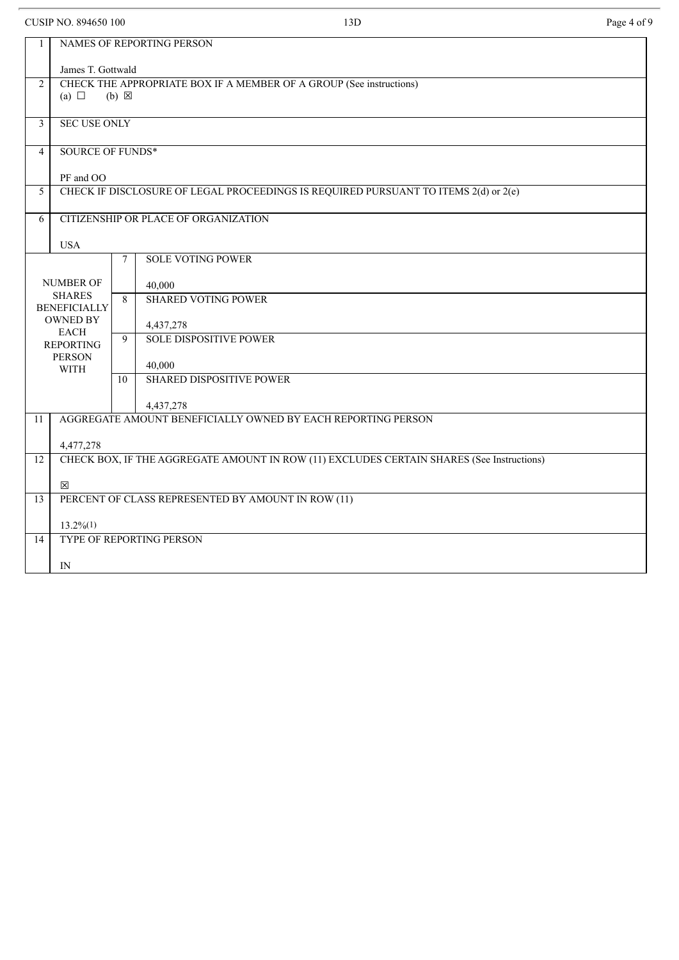CUSIP NO. 894650 100 **Page 4 of 9** 13D **Page 4 of 9** 

| $\mathbf{1}$ | NAMES OF REPORTING PERSON                                                                 |                 |                                                              |  |  |  |  |
|--------------|-------------------------------------------------------------------------------------------|-----------------|--------------------------------------------------------------|--|--|--|--|
|              | James T. Gottwald                                                                         |                 |                                                              |  |  |  |  |
| 2            | CHECK THE APPROPRIATE BOX IF A MEMBER OF A GROUP (See instructions)                       |                 |                                                              |  |  |  |  |
|              | (a) $\Box$                                                                                | $(b) \boxtimes$ |                                                              |  |  |  |  |
| 3            | <b>SEC USE ONLY</b>                                                                       |                 |                                                              |  |  |  |  |
|              |                                                                                           |                 |                                                              |  |  |  |  |
| 4            | SOURCE OF FUNDS*                                                                          |                 |                                                              |  |  |  |  |
| PF and OO    |                                                                                           |                 |                                                              |  |  |  |  |
| 5            | CHECK IF DISCLOSURE OF LEGAL PROCEEDINGS IS REQUIRED PURSUANT TO ITEMS 2(d) or 2(e)       |                 |                                                              |  |  |  |  |
| 6            | CITIZENSHIP OR PLACE OF ORGANIZATION                                                      |                 |                                                              |  |  |  |  |
|              | <b>USA</b>                                                                                |                 |                                                              |  |  |  |  |
|              |                                                                                           | $\tau$          | <b>SOLE VOTING POWER</b>                                     |  |  |  |  |
|              | <b>NUMBER OF</b>                                                                          |                 | 40,000                                                       |  |  |  |  |
|              | <b>SHARES</b>                                                                             | $\sqrt{8}$      | <b>SHARED VOTING POWER</b>                                   |  |  |  |  |
|              | <b>BENEFICIALLY</b><br><b>OWNED BY</b>                                                    |                 |                                                              |  |  |  |  |
|              | <b>EACH</b>                                                                               | 9               | 4,437,278<br><b>SOLE DISPOSITIVE POWER</b>                   |  |  |  |  |
|              | <b>REPORTING</b><br><b>PERSON</b>                                                         |                 |                                                              |  |  |  |  |
|              | <b>WITH</b>                                                                               |                 | 40,000                                                       |  |  |  |  |
|              |                                                                                           | 10              | <b>SHARED DISPOSITIVE POWER</b>                              |  |  |  |  |
|              |                                                                                           |                 | 4,437,278                                                    |  |  |  |  |
| 11           |                                                                                           |                 | AGGREGATE AMOUNT BENEFICIALLY OWNED BY EACH REPORTING PERSON |  |  |  |  |
|              | 4,477,278                                                                                 |                 |                                                              |  |  |  |  |
| 12           | CHECK BOX, IF THE AGGREGATE AMOUNT IN ROW (11) EXCLUDES CERTAIN SHARES (See Instructions) |                 |                                                              |  |  |  |  |
|              | 冈                                                                                         |                 |                                                              |  |  |  |  |
| 13           | PERCENT OF CLASS REPRESENTED BY AMOUNT IN ROW (11)                                        |                 |                                                              |  |  |  |  |
|              | $13.2\%/1)$                                                                               |                 |                                                              |  |  |  |  |
| 14           |                                                                                           |                 | TYPE OF REPORTING PERSON                                     |  |  |  |  |
|              | IN                                                                                        |                 |                                                              |  |  |  |  |
|              |                                                                                           |                 |                                                              |  |  |  |  |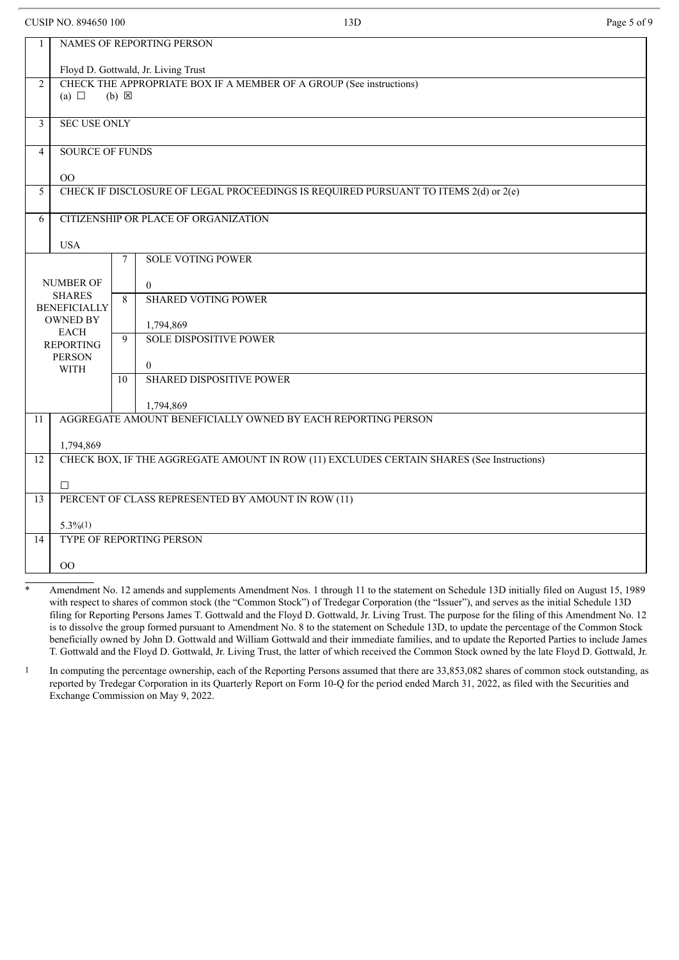CUSIP NO. 894650 100 **Page 5 of 9** 13D **Page 5 of 9** 2008 **Page 5 of 9** 2008 **Page 5 of 9** 

| 1                                         | NAMES OF REPORTING PERSON                                                                              |        |                                                              |  |  |  |  |
|-------------------------------------------|--------------------------------------------------------------------------------------------------------|--------|--------------------------------------------------------------|--|--|--|--|
|                                           | Floyd D. Gottwald, Jr. Living Trust                                                                    |        |                                                              |  |  |  |  |
| $\overline{2}$                            | CHECK THE APPROPRIATE BOX IF A MEMBER OF A GROUP (See instructions)                                    |        |                                                              |  |  |  |  |
| (a) $\Box$<br>$(b) \boxtimes$             |                                                                                                        |        |                                                              |  |  |  |  |
|                                           |                                                                                                        |        |                                                              |  |  |  |  |
| $\overline{3}$                            | <b>SEC USE ONLY</b>                                                                                    |        |                                                              |  |  |  |  |
| $\overline{4}$                            | <b>SOURCE OF FUNDS</b>                                                                                 |        |                                                              |  |  |  |  |
|                                           |                                                                                                        |        |                                                              |  |  |  |  |
| 5                                         | OO                                                                                                     |        |                                                              |  |  |  |  |
|                                           | CHECK IF DISCLOSURE OF LEGAL PROCEEDINGS IS REQUIRED PURSUANT TO ITEMS 2(d) or 2(e)                    |        |                                                              |  |  |  |  |
| CITIZENSHIP OR PLACE OF ORGANIZATION<br>6 |                                                                                                        |        |                                                              |  |  |  |  |
|                                           | <b>USA</b>                                                                                             |        |                                                              |  |  |  |  |
|                                           |                                                                                                        | $\tau$ | <b>SOLE VOTING POWER</b>                                     |  |  |  |  |
|                                           |                                                                                                        |        |                                                              |  |  |  |  |
|                                           | <b>NUMBER OF</b>                                                                                       |        | $\overline{0}$                                               |  |  |  |  |
|                                           | <b>SHARES</b><br><b>BENEFICIALLY</b>                                                                   | 8      | <b>SHARED VOTING POWER</b>                                   |  |  |  |  |
|                                           | <b>OWNED BY</b>                                                                                        |        | 1,794,869                                                    |  |  |  |  |
|                                           | <b>EACH</b><br><b>REPORTING</b>                                                                        | 9      | <b>SOLE DISPOSITIVE POWER</b>                                |  |  |  |  |
|                                           | <b>PERSON</b>                                                                                          |        |                                                              |  |  |  |  |
|                                           | WITH                                                                                                   |        | $\theta$                                                     |  |  |  |  |
|                                           |                                                                                                        | 10     | <b>SHARED DISPOSITIVE POWER</b>                              |  |  |  |  |
|                                           |                                                                                                        |        | 1,794,869                                                    |  |  |  |  |
| 11                                        |                                                                                                        |        | AGGREGATE AMOUNT BENEFICIALLY OWNED BY EACH REPORTING PERSON |  |  |  |  |
|                                           |                                                                                                        |        |                                                              |  |  |  |  |
| $\overline{12}$                           | 1,794,869<br>CHECK BOX, IF THE AGGREGATE AMOUNT IN ROW (11) EXCLUDES CERTAIN SHARES (See Instructions) |        |                                                              |  |  |  |  |
|                                           |                                                                                                        |        |                                                              |  |  |  |  |
|                                           | $\Box$                                                                                                 |        |                                                              |  |  |  |  |
| 13                                        | PERCENT OF CLASS REPRESENTED BY AMOUNT IN ROW (11)                                                     |        |                                                              |  |  |  |  |
|                                           | $5.3\%/1)$                                                                                             |        |                                                              |  |  |  |  |
| 14                                        |                                                                                                        |        | TYPE OF REPORTING PERSON                                     |  |  |  |  |
|                                           |                                                                                                        |        |                                                              |  |  |  |  |
|                                           | $00\,$                                                                                                 |        |                                                              |  |  |  |  |

Amendment No. 12 amends and supplements Amendment Nos. 1 through 11 to the statement on Schedule 13D initially filed on August 15, 1989 with respect to shares of common stock (the "Common Stock") of Tredegar Corporation (the "Issuer"), and serves as the initial Schedule 13D filing for Reporting Persons James T. Gottwald and the Floyd D. Gottwald, Jr. Living Trust. The purpose for the filing of this Amendment No. 12 is to dissolve the group formed pursuant to Amendment No. 8 to the statement on Schedule 13D, to update the percentage of the Common Stock beneficially owned by John D. Gottwald and William Gottwald and their immediate families, and to update the Reported Parties to include James T. Gottwald and the Floyd D. Gottwald, Jr. Living Trust, the latter of which received the Common Stock owned by the late Floyd D. Gottwald, Jr.

1 In computing the percentage ownership, each of the Reporting Persons assumed that there are 33,853,082 shares of common stock outstanding, as reported by Tredegar Corporation in its Quarterly Report on Form 10-Q for the period ended March 31, 2022, as filed with the Securities and Exchange Commission on May 9, 2022.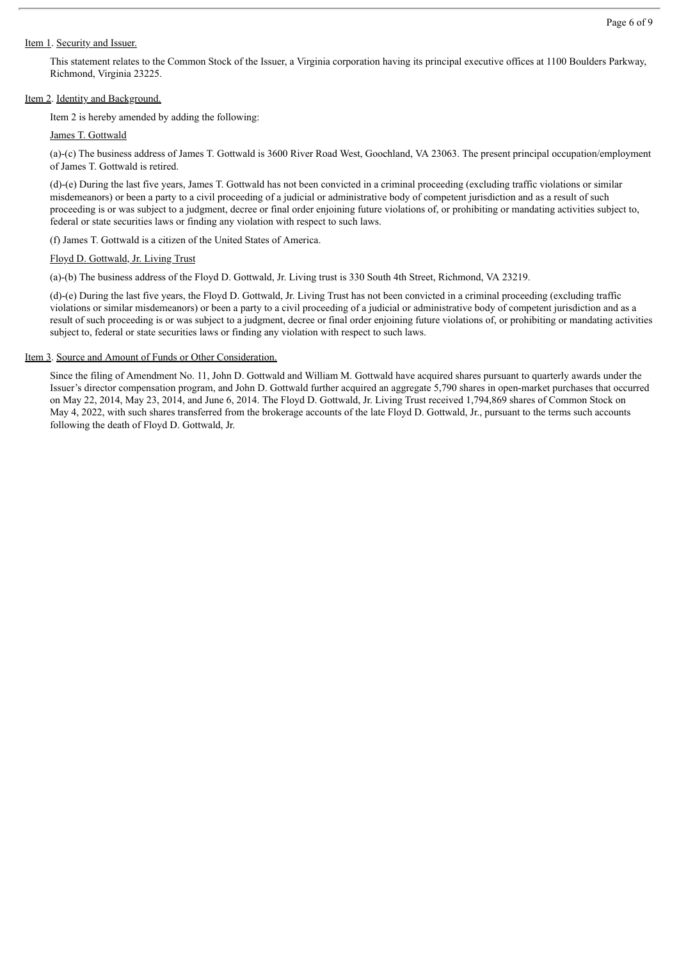#### Item 1. Security and Issuer.

This statement relates to the Common Stock of the Issuer, a Virginia corporation having its principal executive offices at 1100 Boulders Parkway, Richmond, Virginia 23225.

#### Item 2. Identity and Background.

Item 2 is hereby amended by adding the following:

James T. Gottwald

(a)-(c) The business address of James T. Gottwald is 3600 River Road West, Goochland, VA 23063. The present principal occupation/employment of James T. Gottwald is retired.

(d)-(e) During the last five years, James T. Gottwald has not been convicted in a criminal proceeding (excluding traffic violations or similar misdemeanors) or been a party to a civil proceeding of a judicial or administrative body of competent jurisdiction and as a result of such proceeding is or was subject to a judgment, decree or final order enjoining future violations of, or prohibiting or mandating activities subject to, federal or state securities laws or finding any violation with respect to such laws.

(f) James T. Gottwald is a citizen of the United States of America.

#### Floyd D. Gottwald, Jr. Living Trust

(a)-(b) The business address of the Floyd D. Gottwald, Jr. Living trust is 330 South 4th Street, Richmond, VA 23219.

(d)-(e) During the last five years, the Floyd D. Gottwald, Jr. Living Trust has not been convicted in a criminal proceeding (excluding traffic violations or similar misdemeanors) or been a party to a civil proceeding of a judicial or administrative body of competent jurisdiction and as a result of such proceeding is or was subject to a judgment, decree or final order enjoining future violations of, or prohibiting or mandating activities subject to, federal or state securities laws or finding any violation with respect to such laws.

#### Item 3. Source and Amount of Funds or Other Consideration.

Since the filing of Amendment No. 11, John D. Gottwald and William M. Gottwald have acquired shares pursuant to quarterly awards under the Issuer's director compensation program, and John D. Gottwald further acquired an aggregate 5,790 shares in open-market purchases that occurred on May 22, 2014, May 23, 2014, and June 6, 2014. The Floyd D. Gottwald, Jr. Living Trust received 1,794,869 shares of Common Stock on May 4, 2022, with such shares transferred from the brokerage accounts of the late Floyd D. Gottwald, Jr., pursuant to the terms such accounts following the death of Floyd D. Gottwald, Jr.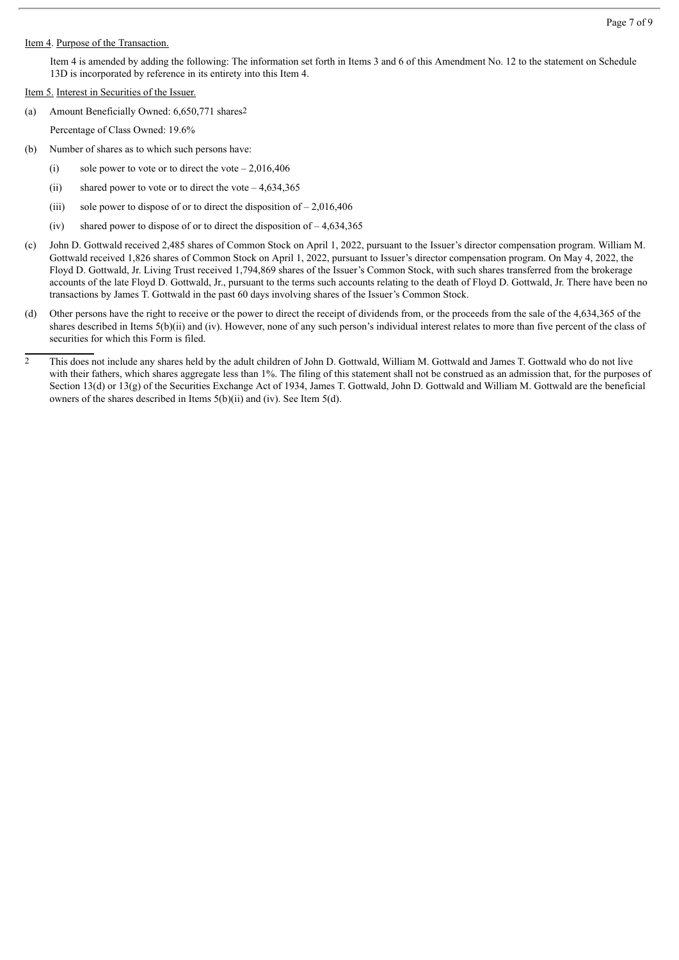#### Item 4. Purpose of the Transaction.

Item 4 is amended by adding the following: The information set forth in Items 3 and 6 of this Amendment No. 12 to the statement on Schedule 13D is incorporated by reference in its entirety into this Item 4.

#### Item 5. Interest in Securities of the Issuer.

- (a) Amount Beneficially Owned: 6,650,771 shares2
	- Percentage of Class Owned: 19.6%
- (b) Number of shares as to which such persons have:
	- (i) sole power to vote or to direct the vote  $-2,016,406$
	- (ii) shared power to vote or to direct the vote  $-4,634,365$
	- (iii) sole power to dispose of or to direct the disposition of  $-2.016,406$
	- (iv) shared power to dispose of or to direct the disposition of  $-4,634,365$
- (c) John D. Gottwald received 2,485 shares of Common Stock on April 1, 2022, pursuant to the Issuer's director compensation program. William M. Gottwald received 1,826 shares of Common Stock on April 1, 2022, pursuant to Issuer's director compensation program. On May 4, 2022, the Floyd D. Gottwald, Jr. Living Trust received 1,794,869 shares of the Issuer's Common Stock, with such shares transferred from the brokerage accounts of the late Floyd D. Gottwald, Jr., pursuant to the terms such accounts relating to the death of Floyd D. Gottwald, Jr. There have been no transactions by James T. Gottwald in the past 60 days involving shares of the Issuer's Common Stock.
- (d) Other persons have the right to receive or the power to direct the receipt of dividends from, or the proceeds from the sale of the 4,634,365 of the shares described in Items 5(b)(ii) and (iv). However, none of any such person's individual interest relates to more than five percent of the class of securities for which this Form is filed.
- <sup>2</sup> This does not include any shares held by the adult children of John D. Gottwald, William M. Gottwald and James T. Gottwald who do not live with their fathers, which shares aggregate less than 1%. The filing of this statement shall not be construed as an admission that, for the purposes of Section 13(d) or 13(g) of the Securities Exchange Act of 1934, James T. Gottwald, John D. Gottwald and William M. Gottwald are the beneficial owners of the shares described in Items 5(b)(ii) and (iv). See Item 5(d).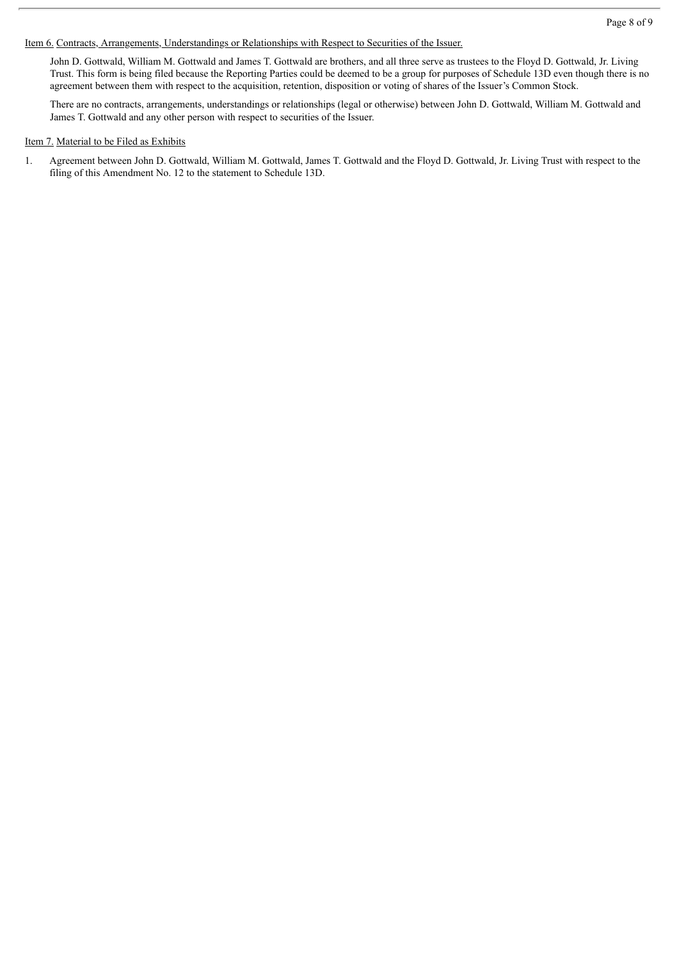Item 6. Contracts, Arrangements, Understandings or Relationships with Respect to Securities of the Issuer.

John D. Gottwald, William M. Gottwald and James T. Gottwald are brothers, and all three serve as trustees to the Floyd D. Gottwald, Jr. Living Trust. This form is being filed because the Reporting Parties could be deemed to be a group for purposes of Schedule 13D even though there is no agreement between them with respect to the acquisition, retention, disposition or voting of shares of the Issuer's Common Stock.

There are no contracts, arrangements, understandings or relationships (legal or otherwise) between John D. Gottwald, William M. Gottwald and James T. Gottwald and any other person with respect to securities of the Issuer.

#### Item 7. Material to be Filed as Exhibits

1. Agreement between John D. Gottwald, William M. Gottwald, James T. Gottwald and the Floyd D. Gottwald, Jr. Living Trust with respect to the filing of this Amendment No. 12 to the statement to Schedule 13D.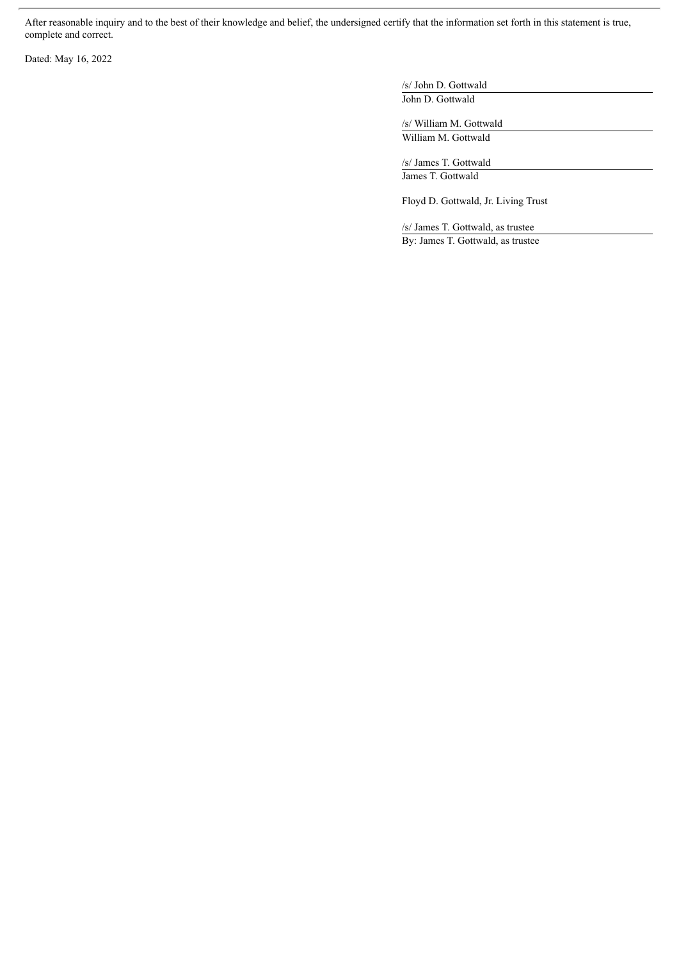After reasonable inquiry and to the best of their knowledge and belief, the undersigned certify that the information set forth in this statement is true, complete and correct.

Dated: May 16, 2022

/s/ John D. Gottwald John D. Gottwald

/s/ William M. Gottwald William M. Gottwald

/s/ James T. Gottwald James T. Gottwald

Floyd D. Gottwald, Jr. Living Trust

/s/ James T. Gottwald, as trustee By: James T. Gottwald, as trustee